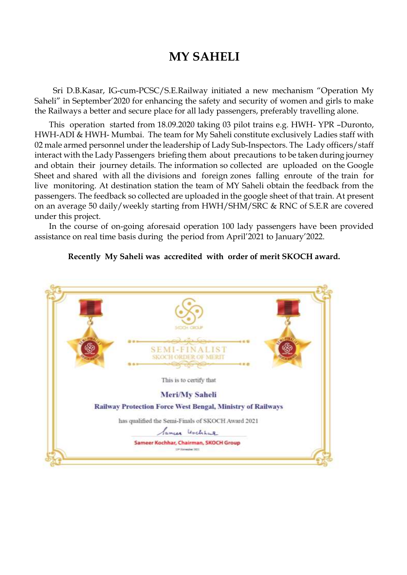## **MY SAHELI**

 Sri D.B.Kasar, IG-cum-PCSC/S.E.Railway initiated a new mechanism "Operation My Saheli" in September'2020 for enhancing the safety and security of women and girls to make the Railways a better and secure place for all lady passengers, preferably travelling alone.

 This operation started from 18.09.2020 taking 03 pilot trains e.g. HWH- YPR –Duronto, HWH-ADI & HWH- Mumbai. The team for My Saheli constitute exclusively Ladies staff with 02 male armed personnel under the leadership of Lady Sub-Inspectors. The Lady officers/staff interact with the Lady Passengers briefing them about precautions to be taken during journey and obtain their journey details. The information so collected are uploaded on the Google Sheet and shared with all the divisions and foreign zones falling enroute of the train for live monitoring. At destination station the team of MY Saheli obtain the feedback from the passengers. The feedback so collected are uploaded in the google sheet of that train. At present on an average 50 daily/weekly starting from HWH/SHM/SRC & RNC of S.E.R are covered under this project.

 In the course of on-going aforesaid operation 100 lady passengers have been provided assistance on real time basis during the period from April'2021 to January'2022.



## **Recently My Saheli was accredited with order of merit SKOCH award.**